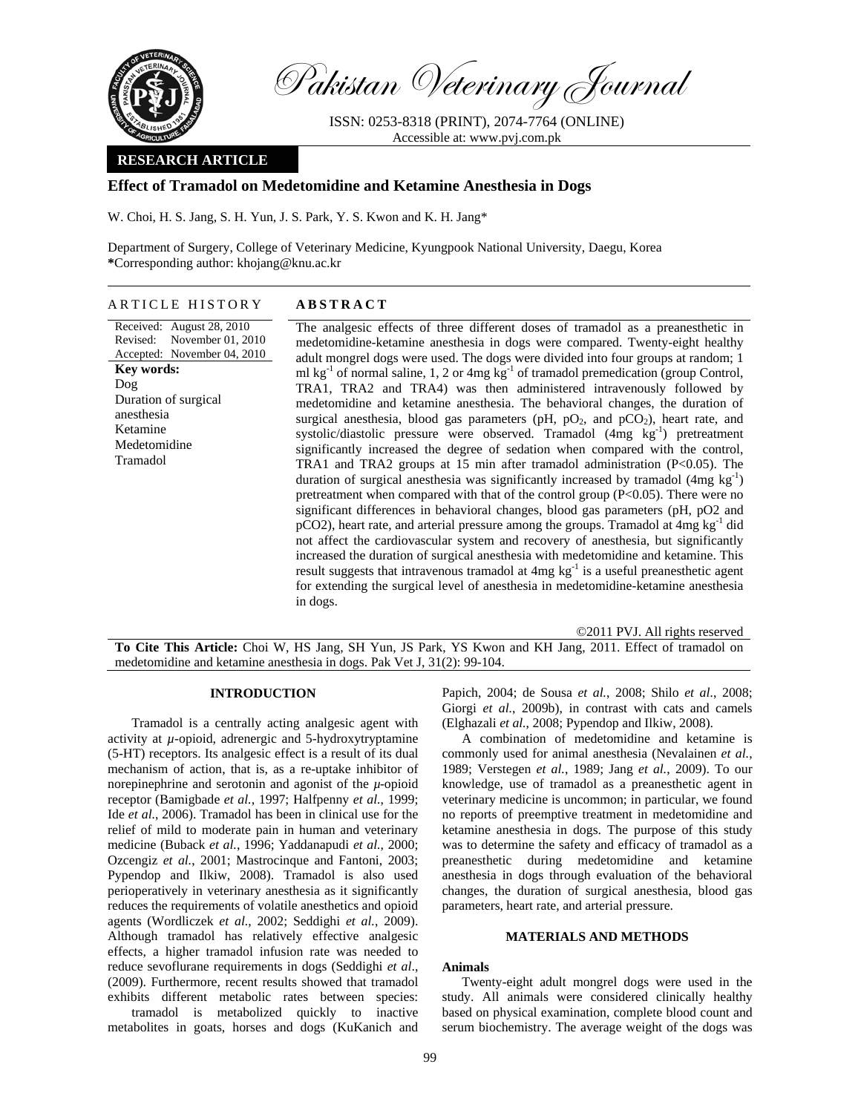

Pakistan Veterinary Journal

ISSN: 0253-8318 (PRINT), 2074-7764 (ONLINE) Accessible at: www.pvj.com.pk

# **RESEARCH ARTICLE**

# **Effect of Tramadol on Medetomidine and Ketamine Anesthesia in Dogs**

W. Choi, H. S. Jang, S. H. Yun, J. S. Park, Y. S. Kwon and K. H. Jang\*

Department of Surgery, College of Veterinary Medicine, Kyungpook National University, Daegu, Korea **\***Corresponding author: khojang@knu.ac.kr

#### ARTICLE HISTORY **ABSTRACT**

Received: August 28, 2010 Revised: Accepted: November 04, 2010 November 01, 2010 **Key words:**  Dog Duration of surgical anesthesia Ketamine Medetomidine Tramadol

The analgesic effects of three different doses of tramadol as a preanesthetic in medetomidine-ketamine anesthesia in dogs were compared. Twenty-eight healthy adult mongrel dogs were used. The dogs were divided into four groups at random; 1 ml  $kg<sup>-1</sup>$  of normal saline, 1, 2 or 4mg  $kg<sup>-1</sup>$  of tramadol premedication (group Control, TRA1, TRA2 and TRA4) was then administered intravenously followed by medetomidine and ketamine anesthesia. The behavioral changes, the duration of surgical anesthesia, blood gas parameters (pH,  $pO_2$ , and  $pCO_2$ ), heart rate, and systolic/diastolic pressure were observed. Tramadol  $(4mg \text{ kg}^{-1})$  pretreatment significantly increased the degree of sedation when compared with the control, TRA1 and TRA2 groups at 15 min after tramadol administration (P<0.05). The duration of surgical anesthesia was significantly increased by tramadol  $(4mg \text{ kg}^{-1})$ pretreatment when compared with that of the control group (P<0.05). There were no significant differences in behavioral changes, blood gas parameters (pH, pO2 and  $pCO2$ ), heart rate, and arterial pressure among the groups. Tramadol at  $4mg \, kg^{-1}$  did not affect the cardiovascular system and recovery of anesthesia, but significantly increased the duration of surgical anesthesia with medetomidine and ketamine. This result suggests that intravenous tramadol at 4mg kg<sup>-1</sup> is a useful preanesthetic agent for extending the surgical level of anesthesia in medetomidine-ketamine anesthesia in dogs.

©2011 PVJ. All rights reserved **To Cite This Article:** Choi W, HS Jang, SH Yun, JS Park, YS Kwon and KH Jang, 2011. Effect of tramadol on medetomidine and ketamine anesthesia in dogs. Pak Vet J, 31(2): 99-104.

### **INTRODUCTION**

Tramadol is a centrally acting analgesic agent with activity at *µ*-opioid, adrenergic and 5-hydroxytryptamine (5-HT) receptors. Its analgesic effect is a result of its dual mechanism of action, that is, as a re-uptake inhibitor of norepinephrine and serotonin and agonist of the *µ*-opioid receptor (Bamigbade *et al.*, 1997; Halfpenny *et al.*, 1999; Ide *et al.*, 2006). Tramadol has been in clinical use for the relief of mild to moderate pain in human and veterinary medicine (Buback *et al.*, 1996; Yaddanapudi *et al.*, 2000; Ozcengiz *et al.*, 2001; Mastrocinque and Fantoni, 2003; Pypendop and Ilkiw, 2008). Tramadol is also used perioperatively in veterinary anesthesia as it significantly reduces the requirements of volatile anesthetics and opioid agents (Wordliczek *et al.*, 2002; Seddighi *et al.*, 2009). Although tramadol has relatively effective analgesic effects, a higher tramadol infusion rate was needed to reduce sevoflurane requirements in dogs (Seddighi *et al*., (2009). Furthermore, recent results showed that tramadol exhibits different metabolic rates between species:

tramadol is metabolized quickly to inactive metabolites in goats, horses and dogs (KuKanich and Papich, 2004; de Sousa *et al.*, 2008; Shilo *et al.*, 2008; Giorgi *et al.*, 2009b), in contrast with cats and camels (Elghazali *et al.*, 2008; Pypendop and Ilkiw, 2008).

A combination of medetomidine and ketamine is commonly used for animal anesthesia (Nevalainen *et al.*, 1989; Verstegen *et al.*, 1989; Jang *et al.*, 2009). To our knowledge, use of tramadol as a preanesthetic agent in veterinary medicine is uncommon; in particular, we found no reports of preemptive treatment in medetomidine and ketamine anesthesia in dogs. The purpose of this study was to determine the safety and efficacy of tramadol as a preanesthetic during medetomidine and ketamine anesthesia in dogs through evaluation of the behavioral changes, the duration of surgical anesthesia, blood gas parameters, heart rate, and arterial pressure.

## **MATERIALS AND METHODS**

#### **Animals**

Twenty-eight adult mongrel dogs were used in the study. All animals were considered clinically healthy based on physical examination, complete blood count and serum biochemistry. The average weight of the dogs was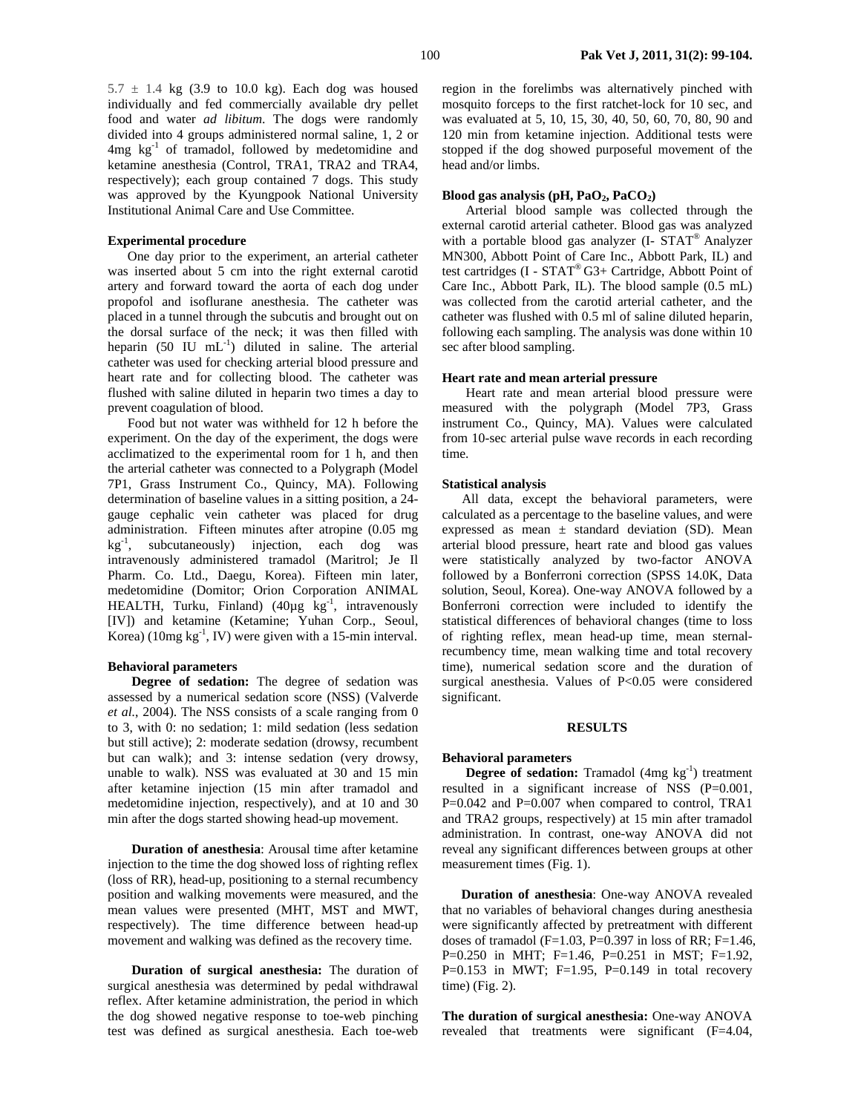$5.7 \pm 1.4$  kg (3.9 to 10.0 kg). Each dog was housed individually and fed commercially available dry pellet food and water *ad libitum*. The dogs were randomly divided into 4 groups administered normal saline, 1, 2 or 4mg kg-1 of tramadol, followed by medetomidine and ketamine anesthesia (Control, TRA1, TRA2 and TRA4, respectively); each group contained 7 dogs. This study was approved by the Kyungpook National University Institutional Animal Care and Use Committee.

## **Experimental procedure**

One day prior to the experiment, an arterial catheter was inserted about 5 cm into the right external carotid artery and forward toward the aorta of each dog under propofol and isoflurane anesthesia. The catheter was placed in a tunnel through the subcutis and brought out on the dorsal surface of the neck; it was then filled with heparin (50 IU mL<sup>-1</sup>) diluted in saline. The arterial catheter was used for checking arterial blood pressure and heart rate and for collecting blood. The catheter was flushed with saline diluted in heparin two times a day to prevent coagulation of blood.

Food but not water was withheld for 12 h before the experiment. On the day of the experiment, the dogs were acclimatized to the experimental room for 1 h, and then the arterial catheter was connected to a Polygraph (Model 7P1, Grass Instrument Co., Quincy, MA). Following determination of baseline values in a sitting position, a 24 gauge cephalic vein catheter was placed for drug administration. Fifteen minutes after atropine (0.05 mg  $kg^{-1}$ , subcutaneously) injection, each dog was intravenously administered tramadol (Maritrol; Je Il Pharm. Co. Ltd., Daegu, Korea). Fifteen min later, medetomidine (Domitor; Orion Corporation ANIMAL HEALTH, Turku, Finland)  $(40\mu g\ \text{kg}^{-1})$ , intravenously [IV]) and ketamine (Ketamine; Yuhan Corp., Seoul, Korea) (10mg  $kg^{-1}$ , IV) were given with a 15-min interval.

#### **Behavioral parameters**

**Degree of sedation:** The degree of sedation was assessed by a numerical sedation score (NSS) (Valverde *et al.*, 2004). The NSS consists of a scale ranging from 0 to 3, with 0: no sedation; 1: mild sedation (less sedation but still active); 2: moderate sedation (drowsy, recumbent but can walk); and 3: intense sedation (very drowsy, unable to walk). NSS was evaluated at 30 and 15 min after ketamine injection (15 min after tramadol and medetomidine injection, respectively), and at 10 and 30 min after the dogs started showing head-up movement.

**Duration of anesthesia**: Arousal time after ketamine injection to the time the dog showed loss of righting reflex (loss of RR), head-up, positioning to a sternal recumbency position and walking movements were measured, and the mean values were presented (MHT, MST and MWT, respectively). The time difference between head-up movement and walking was defined as the recovery time.

**Duration of surgical anesthesia:** The duration of surgical anesthesia was determined by pedal withdrawal reflex. After ketamine administration, the period in which the dog showed negative response to toe-web pinching test was defined as surgical anesthesia. Each toe-web region in the forelimbs was alternatively pinched with mosquito forceps to the first ratchet-lock for 10 sec, and was evaluated at 5, 10, 15, 30, 40, 50, 60, 70, 80, 90 and 120 min from ketamine injection. Additional tests were stopped if the dog showed purposeful movement of the head and/or limbs.

#### Blood gas analysis (pH, PaO<sub>2</sub>, PaCO<sub>2</sub>)

Arterial blood sample was collected through the external carotid arterial catheter. Blood gas was analyzed with a portable blood gas analyzer  $(I - STAT^{\omega}$  Analyzer MN300, Abbott Point of Care Inc., Abbott Park, IL) and test cartridges (I - STAT® G3+ Cartridge, Abbott Point of Care Inc., Abbott Park, IL). The blood sample (0.5 mL) was collected from the carotid arterial catheter, and the catheter was flushed with 0.5 ml of saline diluted heparin, following each sampling. The analysis was done within 10 sec after blood sampling.

## **Heart rate and mean arterial pressure**

Heart rate and mean arterial blood pressure were measured with the polygraph (Model 7P3, Grass instrument Co., Quincy, MA). Values were calculated from 10-sec arterial pulse wave records in each recording time.

#### **Statistical analysis**

All data, except the behavioral parameters, were calculated as a percentage to the baseline values, and were expressed as mean  $\pm$  standard deviation (SD). Mean arterial blood pressure, heart rate and blood gas values were statistically analyzed by two-factor ANOVA followed by a Bonferroni correction (SPSS 14.0K, Data solution, Seoul, Korea). One-way ANOVA followed by a Bonferroni correction were included to identify the statistical differences of behavioral changes (time to loss of righting reflex, mean head-up time, mean sternalrecumbency time, mean walking time and total recovery time), numerical sedation score and the duration of surgical anesthesia. Values of P<0.05 were considered significant.

### **RESULTS**

### **Behavioral parameters**

**Degree of sedation:** Tramadol (4mg kg<sup>-1</sup>) treatment resulted in a significant increase of NSS (P=0.001, P=0.042 and P=0.007 when compared to control, TRA1 and TRA2 groups, respectively) at 15 min after tramadol administration. In contrast, one-way ANOVA did not reveal any significant differences between groups at other measurement times (Fig. 1).

**Duration of anesthesia**: One-way ANOVA revealed that no variables of behavioral changes during anesthesia were significantly affected by pretreatment with different doses of tramadol (F=1.03, P=0.397 in loss of RR; F=1.46, P=0.250 in MHT; F=1.46, P=0.251 in MST; F=1.92, P= $0.153$  in MWT; F= $1.95$ , P= $0.149$  in total recovery time) (Fig. 2).

**The duration of surgical anesthesia:** One-way ANOVA revealed that treatments were significant (F=4.04,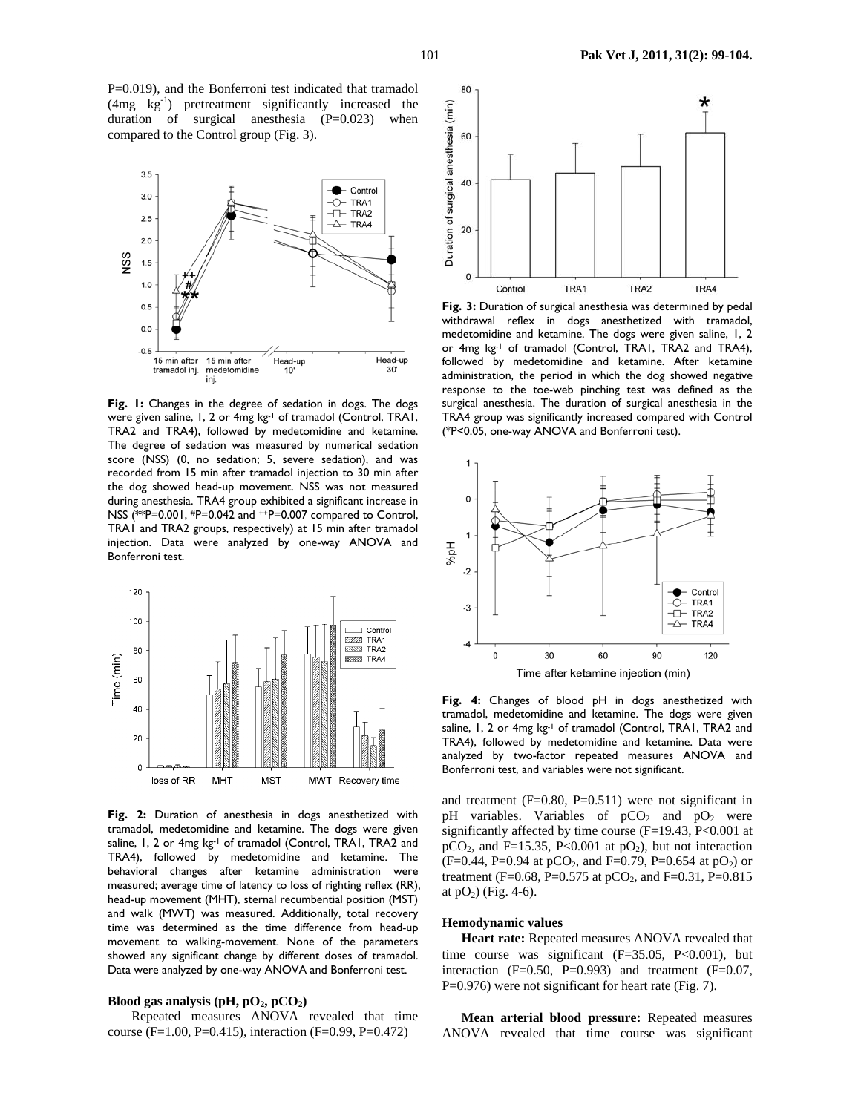P=0.019), and the Bonferroni test indicated that tramadol (4mg kg-1) pretreatment significantly increased the duration of surgical anesthesia (P=0.023) when compared to the Control group (Fig. 3).



**Fig. 1:** Changes in the degree of sedation in dogs. The dogs were given saline, 1, 2 or 4mg kg-1 of tramadol (Control, TRA1, TRA2 and TRA4), followed by medetomidine and ketamine. The degree of sedation was measured by numerical sedation score (NSS) (0, no sedation; 5, severe sedation), and was recorded from 15 min after tramadol injection to 30 min after the dog showed head-up movement. NSS was not measured during anesthesia. TRA4 group exhibited a significant increase in NSS (\*\*P=0.001, #P=0.042 and ++P=0.007 compared to Control, TRA1 and TRA2 groups, respectively) at 15 min after tramadol injection. Data were analyzed by one-way ANOVA and Bonferroni test.



**Fig. 2:** Duration of anesthesia in dogs anesthetized with tramadol, medetomidine and ketamine. The dogs were given saline, 1, 2 or 4mg kg-1 of tramadol (Control, TRA1, TRA2 and TRA4), followed by medetomidine and ketamine. The behavioral changes after ketamine administration were measured; average time of latency to loss of righting reflex (RR), head-up movement (MHT), sternal recumbential position (MST) and walk (MWT) was measured. Additionally, total recovery time was determined as the time difference from head-up movement to walking-movement. None of the parameters showed any significant change by different doses of tramadol. Data were analyzed by one-way ANOVA and Bonferroni test.

# **Blood gas analysis (pH,**  $pO_2$ **,**  $pCO_2$ **)**

Repeated measures ANOVA revealed that time course (F=1.00, P=0.415), interaction (F=0.99, P=0.472)



**Fig. 3:** Duration of surgical anesthesia was determined by pedal withdrawal reflex in dogs anesthetized with tramadol, medetomidine and ketamine. The dogs were given saline, 1, 2 or 4mg kg<sup>-1</sup> of tramadol (Control, TRA1, TRA2 and TRA4), followed by medetomidine and ketamine. After ketamine administration, the period in which the dog showed negative response to the toe-web pinching test was defined as the surgical anesthesia. The duration of surgical anesthesia in the TRA4 group was significantly increased compared with Control (\*P<0.05, one-way ANOVA and Bonferroni test).



**Fig. 4:** Changes of blood pH in dogs anesthetized with tramadol, medetomidine and ketamine. The dogs were given saline, 1, 2 or 4mg kg-1 of tramadol (Control, TRA1, TRA2 and TRA4), followed by medetomidine and ketamine. Data were analyzed by two-factor repeated measures ANOVA and Bonferroni test, and variables were not significant.

and treatment  $(F=0.80, P=0.511)$  were not significant in pH variables. Variables of  $pCO<sub>2</sub>$  and  $pO<sub>2</sub>$  were significantly affected by time course (F=19.43, P<0.001 at  $pCO<sub>2</sub>$ , and F=15.35, P<0.001 at  $pO<sub>2</sub>$ ), but not interaction  $(F=0.44, P=0.94$  at pCO<sub>2</sub>, and F=0.79, P=0.654 at pO<sub>2</sub>) or treatment (F=0.68, P=0.575 at pCO<sub>2</sub>, and F=0.31, P=0.815 at  $pO_2$ ) (Fig. 4-6).

## **Hemodynamic values**

**Heart rate:** Repeated measures ANOVA revealed that time course was significant  $(F=35.05, P<0.001)$ , but interaction  $(F=0.50, P=0.993)$  and treatment  $(F=0.07, P=0.993)$ P=0.976) were not significant for heart rate (Fig. 7).

**Mean arterial blood pressure:** Repeated measures ANOVA revealed that time course was significant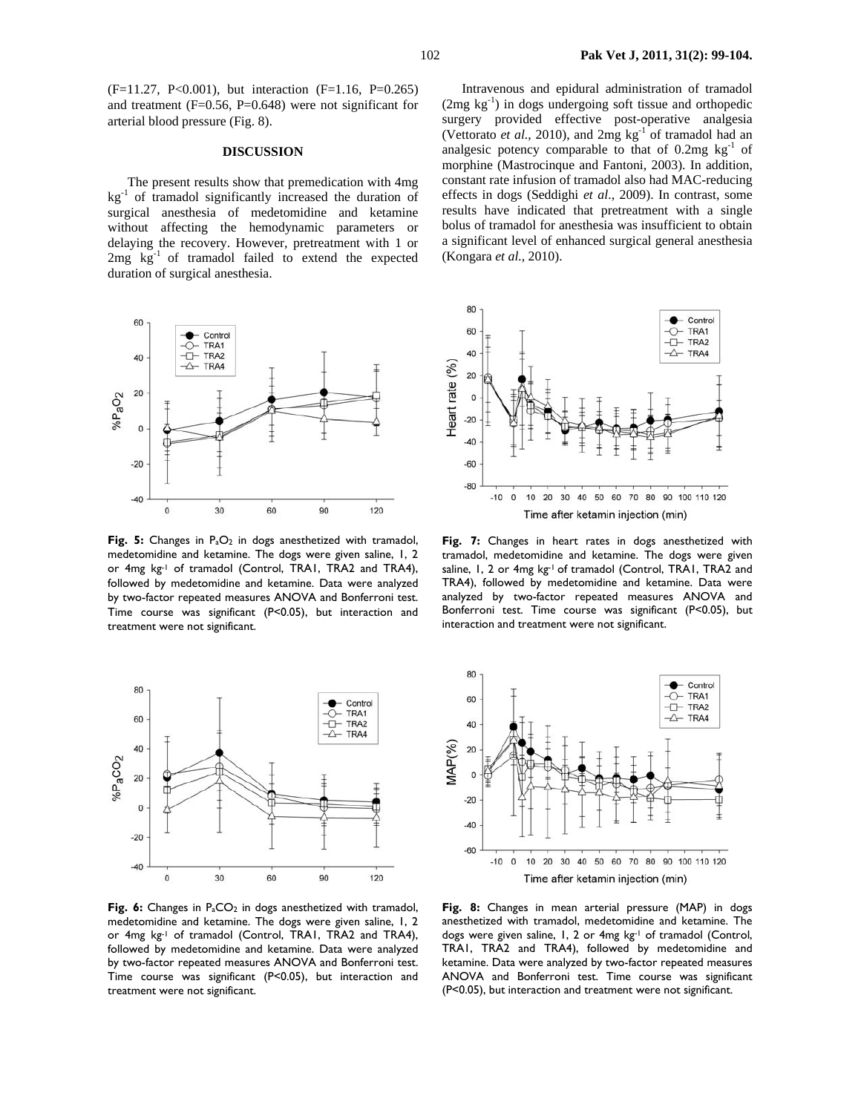(F=11.27, P<0.001), but interaction (F=1.16, P=0.265) and treatment  $(F=0.56, P=0.648)$  were not significant for arterial blood pressure (Fig. 8).

### **DISCUSSION**

The present results show that premedication with 4mg  $kg<sup>-1</sup>$  of tramadol significantly increased the duration of surgical anesthesia of medetomidine and ketamine without affecting the hemodynamic parameters or delaying the recovery. However, pretreatment with 1 or  $2mg$   $kg^{-1}$  of tramadol failed to extend the expected duration of surgical anesthesia.



Fig. 5: Changes in P<sub>a</sub>O<sub>2</sub> in dogs anesthetized with tramadol, medetomidine and ketamine. The dogs were given saline, 1, 2 or 4mg kg-1 of tramadol (Control, TRA1, TRA2 and TRA4), followed by medetomidine and ketamine. Data were analyzed by two-factor repeated measures ANOVA and Bonferroni test. Time course was significant (P<0.05), but interaction and treatment were not significant.



Fig. 6: Changes in P<sub>a</sub>CO<sub>2</sub> in dogs anesthetized with tramadol, medetomidine and ketamine. The dogs were given saline, 1, 2 or 4mg kg-1 of tramadol (Control, TRA1, TRA2 and TRA4), followed by medetomidine and ketamine. Data were analyzed by two-factor repeated measures ANOVA and Bonferroni test. Time course was significant (P<0.05), but interaction and treatment were not significant.

Intravenous and epidural administration of tramadol  $(2mg \text{ kg}^{-1})$  in dogs undergoing soft tissue and orthopedic surgery provided effective post-operative analgesia (Vettorato et al., 2010), and 2mg kg<sup>-1</sup> of tramadol had an analgesic potency comparable to that of  $0.2mg \text{ kg}^{-1}$  of morphine (Mastrocinque and Fantoni, 2003). In addition, constant rate infusion of tramadol also had MAC-reducing effects in dogs (Seddighi *et al*., 2009). In contrast, some results have indicated that pretreatment with a single bolus of tramadol for anesthesia was insufficient to obtain a significant level of enhanced surgical general anesthesia (Kongara *et al.*, 2010).



**Fig. 7:** Changes in heart rates in dogs anesthetized with tramadol, medetomidine and ketamine. The dogs were given saline, 1, 2 or 4mg kg-1 of tramadol (Control, TRA1, TRA2 and TRA4), followed by medetomidine and ketamine. Data were analyzed by two-factor repeated measures ANOVA and Bonferroni test. Time course was significant (P<0.05), but interaction and treatment were not significant.



**Fig. 8:** Changes in mean arterial pressure (MAP) in dogs anesthetized with tramadol, medetomidine and ketamine. The dogs were given saline, 1, 2 or 4mg kg-1 of tramadol (Control, TRA1, TRA2 and TRA4), followed by medetomidine and ketamine. Data were analyzed by two-factor repeated measures ANOVA and Bonferroni test. Time course was significant (P<0.05), but interaction and treatment were not significant.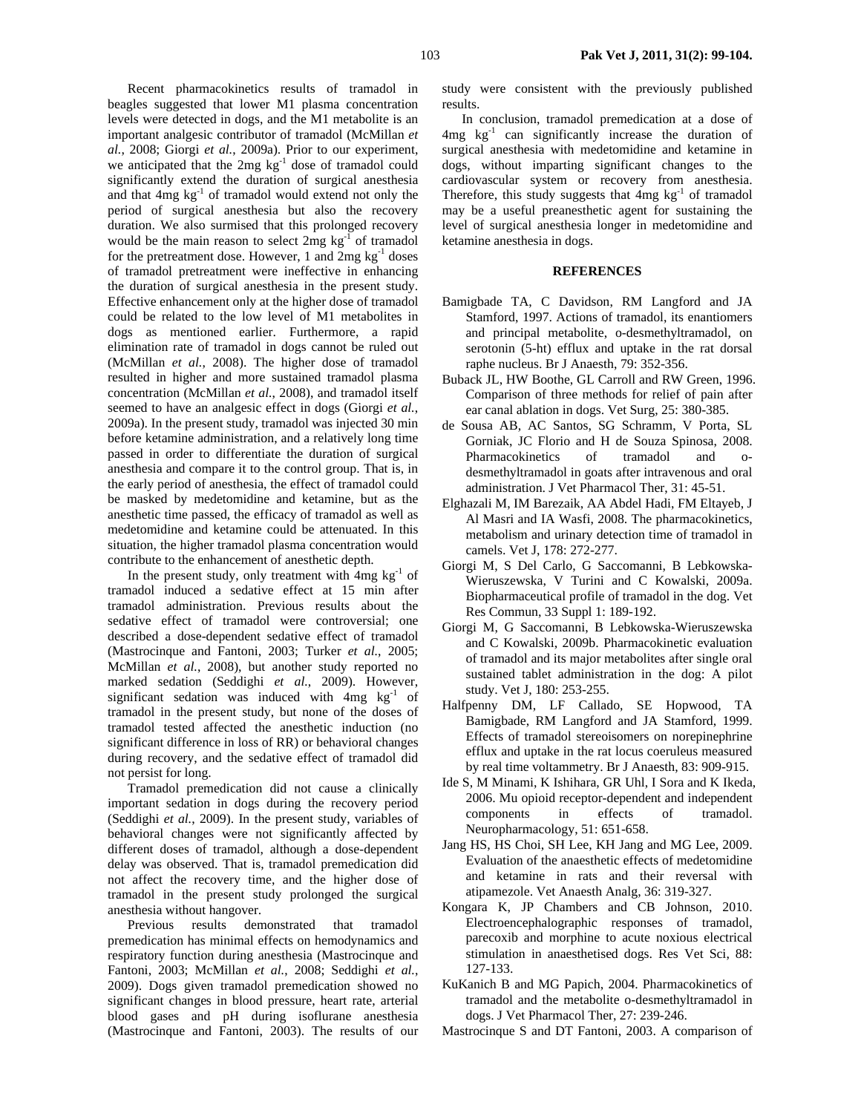Recent pharmacokinetics results of tramadol in beagles suggested that lower M1 plasma concentration levels were detected in dogs, and the M1 metabolite is an important analgesic contributor of tramadol (McMillan *et al.*, 2008; Giorgi *et al.*, 2009a). Prior to our experiment, we anticipated that the 2mg kg<sup>-1</sup> dose of tramadol could significantly extend the duration of surgical anesthesia and that  $4mg \text{ kg}^{-1}$  of tramadol would extend not only the period of surgical anesthesia but also the recovery duration. We also surmised that this prolonged recovery would be the main reason to select  $2mg \text{ kg}^{-1}$  of tramadol for the pretreatment dose. However, 1 and  $2mg \text{ kg}^{-1}$  doses of tramadol pretreatment were ineffective in enhancing the duration of surgical anesthesia in the present study. Effective enhancement only at the higher dose of tramadol could be related to the low level of M1 metabolites in dogs as mentioned earlier. Furthermore, a rapid elimination rate of tramadol in dogs cannot be ruled out (McMillan *et al.*, 2008). The higher dose of tramadol resulted in higher and more sustained tramadol plasma concentration (McMillan *et al.*, 2008), and tramadol itself seemed to have an analgesic effect in dogs (Giorgi *et al.*, 2009a). In the present study, tramadol was injected 30 min before ketamine administration, and a relatively long time passed in order to differentiate the duration of surgical anesthesia and compare it to the control group. That is, in the early period of anesthesia, the effect of tramadol could be masked by medetomidine and ketamine, but as the anesthetic time passed, the efficacy of tramadol as well as medetomidine and ketamine could be attenuated. In this situation, the higher tramadol plasma concentration would contribute to the enhancement of anesthetic depth.

In the present study, only treatment with  $4mg \text{ kg}^{-1}$  of tramadol induced a sedative effect at 15 min after tramadol administration. Previous results about the sedative effect of tramadol were controversial; one described a dose-dependent sedative effect of tramadol (Mastrocinque and Fantoni, 2003; Turker *et al.*, 2005; McMillan *et al.*, 2008), but another study reported no marked sedation (Seddighi *et al.*, 2009). However, significant sedation was induced with  $4mg \text{ kg}^{-1}$  of tramadol in the present study, but none of the doses of tramadol tested affected the anesthetic induction (no significant difference in loss of RR) or behavioral changes during recovery, and the sedative effect of tramadol did not persist for long.

Tramadol premedication did not cause a clinically important sedation in dogs during the recovery period (Seddighi *et al.*, 2009). In the present study, variables of behavioral changes were not significantly affected by different doses of tramadol, although a dose-dependent delay was observed. That is, tramadol premedication did not affect the recovery time, and the higher dose of tramadol in the present study prolonged the surgical anesthesia without hangover.

Previous results demonstrated that tramadol premedication has minimal effects on hemodynamics and respiratory function during anesthesia (Mastrocinque and Fantoni, 2003; McMillan *et al.*, 2008; Seddighi *et al.*, 2009). Dogs given tramadol premedication showed no significant changes in blood pressure, heart rate, arterial blood gases and pH during isoflurane anesthesia (Mastrocinque and Fantoni, 2003). The results of our

study were consistent with the previously published results.

In conclusion, tramadol premedication at a dose of  $4mg$  kg<sup>-1</sup> can significantly increase the duration of surgical anesthesia with medetomidine and ketamine in dogs, without imparting significant changes to the cardiovascular system or recovery from anesthesia. Therefore, this study suggests that  $4mg \text{ kg}^{-1}$  of tramadol may be a useful preanesthetic agent for sustaining the level of surgical anesthesia longer in medetomidine and ketamine anesthesia in dogs.

# **REFERENCES**

- Bamigbade TA, C Davidson, RM Langford and JA Stamford, 1997. Actions of tramadol, its enantiomers and principal metabolite, o-desmethyltramadol, on serotonin (5-ht) efflux and uptake in the rat dorsal raphe nucleus. Br J Anaesth, 79: 352-356.
- Buback JL, HW Boothe, GL Carroll and RW Green, 1996. Comparison of three methods for relief of pain after ear canal ablation in dogs. Vet Surg, 25: 380-385.
- de Sousa AB, AC Santos, SG Schramm, V Porta, SL Gorniak, JC Florio and H de Souza Spinosa, 2008. Pharmacokinetics of tramadol and odesmethyltramadol in goats after intravenous and oral administration. J Vet Pharmacol Ther, 31: 45-51.
- Elghazali M, IM Barezaik, AA Abdel Hadi, FM Eltayeb, J Al Masri and IA Wasfi, 2008. The pharmacokinetics, metabolism and urinary detection time of tramadol in camels. Vet J, 178: 272-277.
- Giorgi M, S Del Carlo, G Saccomanni, B Lebkowska-Wieruszewska, V Turini and C Kowalski, 2009a. Biopharmaceutical profile of tramadol in the dog. Vet Res Commun, 33 Suppl 1: 189-192.
- Giorgi M, G Saccomanni, B Lebkowska-Wieruszewska and C Kowalski, 2009b. Pharmacokinetic evaluation of tramadol and its major metabolites after single oral sustained tablet administration in the dog: A pilot study. Vet J, 180: 253-255.
- Halfpenny DM, LF Callado, SE Hopwood, TA Bamigbade, RM Langford and JA Stamford, 1999. Effects of tramadol stereoisomers on norepinephrine efflux and uptake in the rat locus coeruleus measured by real time voltammetry. Br J Anaesth, 83: 909-915.
- Ide S, M Minami, K Ishihara, GR Uhl, I Sora and K Ikeda, 2006. Mu opioid receptor-dependent and independent components in effects of tramadol. Neuropharmacology, 51: 651-658.
- Jang HS, HS Choi, SH Lee, KH Jang and MG Lee, 2009. Evaluation of the anaesthetic effects of medetomidine and ketamine in rats and their reversal with atipamezole. Vet Anaesth Analg, 36: 319-327.
- Kongara K, JP Chambers and CB Johnson, 2010. Electroencephalographic responses of tramadol, parecoxib and morphine to acute noxious electrical stimulation in anaesthetised dogs. Res Vet Sci, 88: 127-133.
- KuKanich B and MG Papich, 2004. Pharmacokinetics of tramadol and the metabolite o-desmethyltramadol in dogs. J Vet Pharmacol Ther, 27: 239-246.
- Mastrocinque S and DT Fantoni, 2003. A comparison of